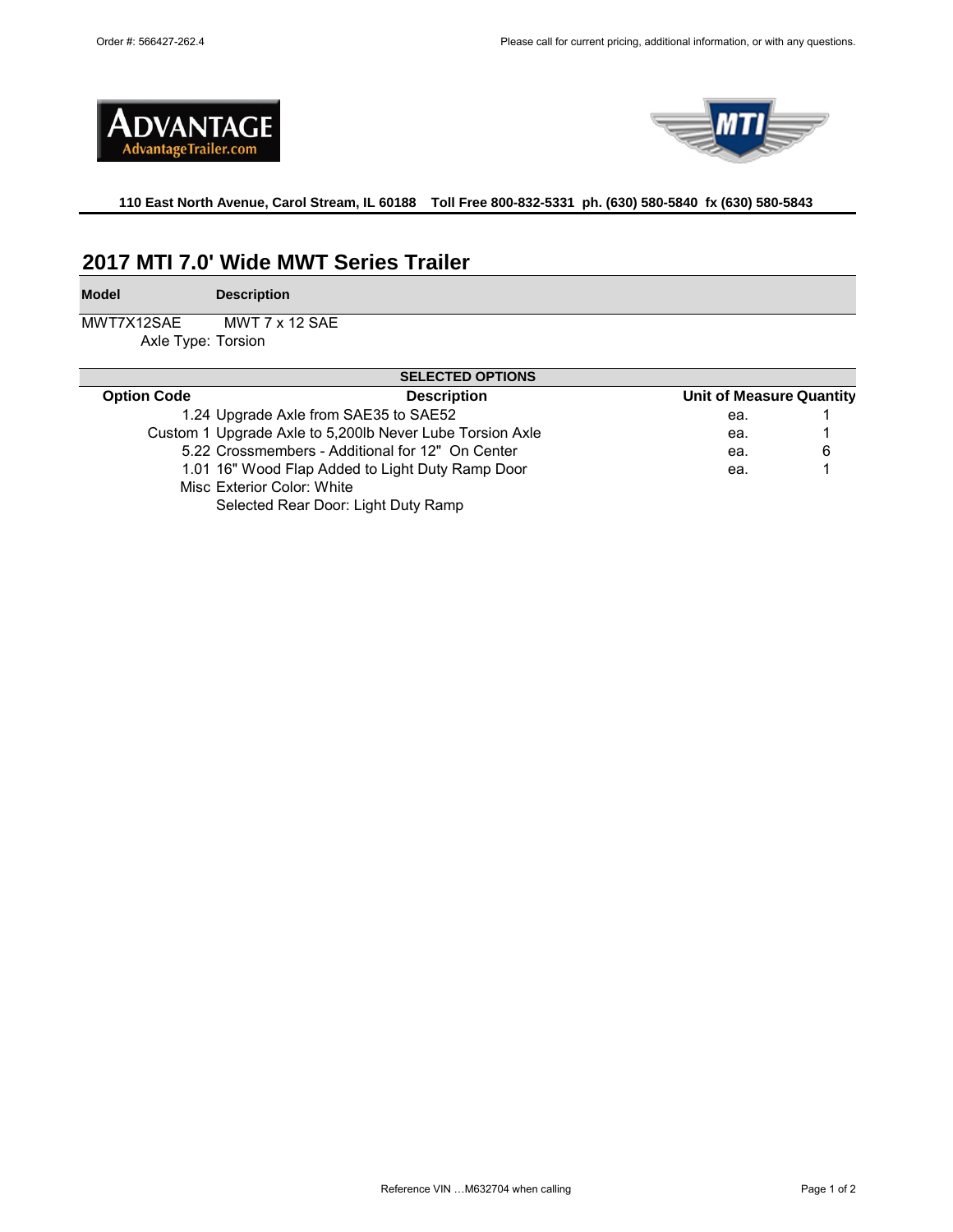



**110 East North Avenue, Carol Stream, IL 60188 Toll Free 800-832-5331 ph. (630) 580-5840 fx (630) 580-5843** 

# **2017 MTI 7.0' Wide MWT Series Trailer**

**Model**

**Description**

MWT7X12SAE Axle Type: Torsion MWT 7 x 12 SAE

| <b>SELECTED OPTIONS</b>                                  |                                                  |                                 |   |  |  |
|----------------------------------------------------------|--------------------------------------------------|---------------------------------|---|--|--|
| <b>Option Code</b>                                       | <b>Description</b>                               | <b>Unit of Measure Quantity</b> |   |  |  |
| 1.24 Upgrade Axle from SAE35 to SAE52                    |                                                  | ea.                             |   |  |  |
| Custom 1 Upgrade Axle to 5,200lb Never Lube Torsion Axle |                                                  | ea.                             |   |  |  |
| 5.22 Crossmembers - Additional for 12" On Center         |                                                  | ea.                             | 6 |  |  |
|                                                          | 1.01 16" Wood Flap Added to Light Duty Ramp Door |                                 |   |  |  |
| Misc Exterior Color: White                               |                                                  |                                 |   |  |  |
|                                                          | Selected Rear Door: Light Duty Ramp              |                                 |   |  |  |